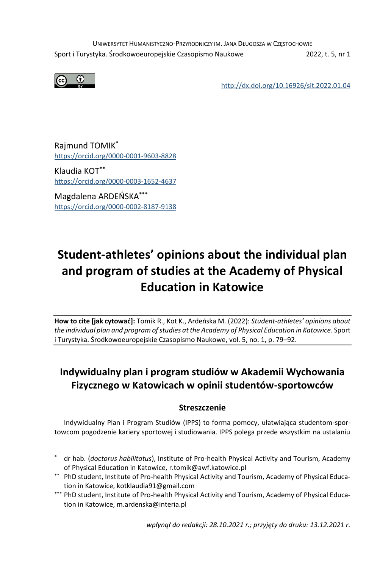UNIWERSYTET HUMANISTYCZNO-PRZYRODNICZY IM. JANA DŁUGOSZA W CZĘSTOCHOWIE

Sport i Turystyka. Środkowoeuropejskie Czasopismo Naukowe 2022, t. 5, nr 1



<http://dx.doi.org/10.16926/sit.2022.01.04>

Rajmund TOMIK**\*** <https://orcid.org/0000-0001-9603-8828>

Klaudia KOT**\*\*** <https://orcid.org/0000-0003-1652-4637>

Magdalena ARDEŃSKA**\*\*\*** <https://orcid.org/0000-0002-8187-9138>

# **Student-athletes' opinions about the individual plan and program of studies at the Academy of Physical Education in Katowice**

**How to cite [jak cytować]:** Tomik R., Kot K., Ardeńska M. (2022): *Student-athletes' opinions about the individual plan and program of studies at the Academy of Physical Education in Katowice*. Sport i Turystyka. Środkowoeuropejskie Czasopismo Naukowe, vol. 5, no. 1, p. 79–92.

## **Indywidualny plan i program studiów w Akademii Wychowania Fizycznego w Katowicach w opinii studentów-sportowców**

### **Streszczenie**

Indywidualny Plan i Program Studiów (IPPS) to forma pomocy, ułatwiająca studentom-sportowcom pogodzenie kariery sportowej i studiowania. IPPS polega przede wszystkim na ustalaniu

<sup>\*</sup> dr hab. (*doctorus habilitatus*), Institute of Pro-health Physical Activity and Tourism, Academy of Physical Education in Katowice, r.tomik@awf.katowice.pl

<sup>\*\*</sup> PhD student, Institute of Pro-health Physical Activity and Tourism, Academy of Physical Education in Katowice, kotklaudia91@gmail.com

<sup>\*\*\*</sup> PhD student, Institute of Pro-health Physical Activity and Tourism, Academy of Physical Education in Katowice, m.ardenska@interia.pl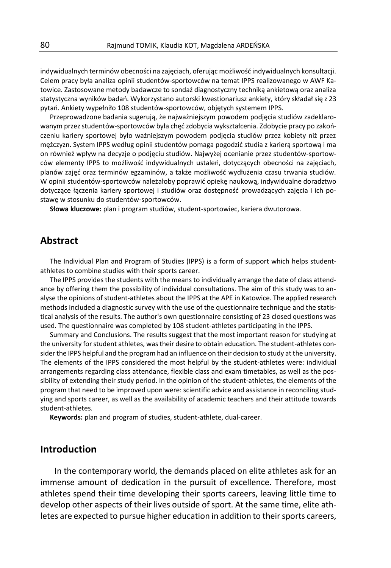indywidualnych terminów obecności na zajęciach, oferując możliwość indywidualnych konsultacji. Celem pracy była analiza opinii studentów-sportowców na temat IPPS realizowanego w AWF Katowice. Zastosowane metody badawcze to sondaż diagnostyczny techniką ankietową oraz analiza statystyczna wyników badań. Wykorzystano autorski kwestionariusz ankiety, który składał się z 23 pytań. Ankiety wypełniło 108 studentów-sportowców, objętych systemem IPPS.

Przeprowadzone badania sugerują, że najważniejszym powodem podjęcia studiów zadeklarowanym przez studentów-sportowców była chęć zdobycia wykształcenia. Zdobycie pracy po zakończeniu kariery sportowej było ważniejszym powodem podjęcia studiów przez kobiety niż przez mężczyzn. System IPPS według opinii studentów pomaga pogodzić studia z karierą sportową i ma on również wpływ na decyzje o podjęciu studiów. Najwyżej ocenianie przez studentów-sportowców elementy IPPS to możliwość indywidualnych ustaleń, dotyczących obecności na zajęciach, planów zajęć oraz terminów egzaminów, a także możliwość wydłużenia czasu trwania studiów. W opinii studentów-sportowców należałoby poprawić opiekę naukową, indywidualne doradztwo dotyczące łączenia kariery sportowej i studiów oraz dostępność prowadzących zajęcia i ich postawę w stosunku do studentów-sportowców.

**Słowa kluczowe:** plan i program studiów, student-sportowiec, kariera dwutorowa.

### **Abstract**

The Individual Plan and Program of Studies (IPPS) is a form of support which helps studentathletes to combine studies with their sports career.

The IPPS provides the students with the means to individually arrange the date of class attendance by offering them the possibility of individual consultations. The aim of this study was to analyse the opinions of student-athletes about the IPPS at the APE in Katowice. The applied research methods included a diagnostic survey with the use of the questionnaire technique and the statistical analysis of the results. The author's own questionnaire consisting of 23 closed questions was used. The questionnaire was completed by 108 student-athletes participating in the IPPS.

Summary and Conclusions. The results suggest that the most important reason for studying at the university for student athletes, was their desire to obtain education. The student-athletes consider the IPPS helpful and the program had an influence on their decision to study at the university. The elements of the IPPS considered the most helpful by the student-athletes were: individual arrangements regarding class attendance, flexible class and exam timetables, as well as the possibility of extending their study period. In the opinion of the student-athletes, the elements of the program that need to be improved upon were: scientific advice and assistance in reconciling studying and sports career, as well as the availability of academic teachers and their attitude towards student-athletes.

**Keywords:** plan and program of studies, student-athlete, dual-career.

### **Introduction**

In the contemporary world, the demands placed on elite athletes ask for an immense amount of dedication in the pursuit of excellence. Therefore, most athletes spend their time developing their sports careers, leaving little time to develop other aspects of their lives outside of sport. At the same time, elite athletes are expected to pursue higher education in addition to their sports careers,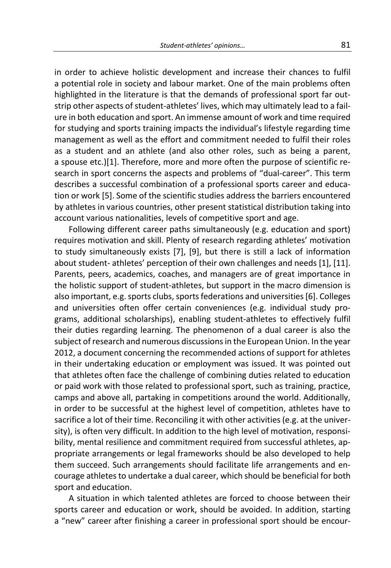in order to achieve holistic development and increase their chances to fulfil a potential role in society and labour market. One of the main problems often highlighted in the literature is that the demands of professional sport far outstrip other aspects of student-athletes' lives, which may ultimately lead to a failure in both education and sport. An immense amount of work and time required for studying and sports training impacts the individual's lifestyle regarding time management as well as the effort and commitment needed to fulfil their roles as a student and an athlete (and also other roles, such as being a parent, a spouse etc.)[1]. Therefore, more and more often the purpose of scientific research in sport concerns the aspects and problems of "dual-career". This term describes a successful combination of a professional sports career and education or work [5]. Some of the scientific studies address the barriers encountered by athletes in various countries, other present statistical distribution taking into account various nationalities, levels of competitive sport and age.

Following different career paths simultaneously (e.g. education and sport) requires motivation and skill. Plenty of research regarding athletes' motivation to study simultaneously exists [7], [9], but there is still a lack of information about student- athletes' perception of their own challenges and needs [1], [11]. Parents, peers, academics, coaches, and managers are of great importance in the holistic support of student-athletes, but support in the macro dimension is also important, e.g. sports clubs, sports federations and universities [6]. Colleges and universities often offer certain conveniences (e.g. individual study programs, additional scholarships), enabling student-athletes to effectively fulfil their duties regarding learning. The phenomenon of a dual career is also the subject of research and numerous discussions in the European Union. In the year 2012, a document concerning the recommended actions of support for athletes in their undertaking education or employment was issued. It was pointed out that athletes often face the challenge of combining duties related to education or paid work with those related to professional sport, such as training, practice, camps and above all, partaking in competitions around the world. Additionally, in order to be successful at the highest level of competition, athletes have to sacrifice a lot of their time. Reconciling it with other activities (e.g. at the university), is often very difficult. In addition to the high level of motivation, responsibility, mental resilience and commitment required from successful athletes, appropriate arrangements or legal frameworks should be also developed to help them succeed. Such arrangements should facilitate life arrangements and encourage athletes to undertake a dual career, which should be beneficial for both sport and education.

A situation in which talented athletes are forced to choose between their sports career and education or work, should be avoided. In addition, starting a "new" career after finishing a career in professional sport should be encour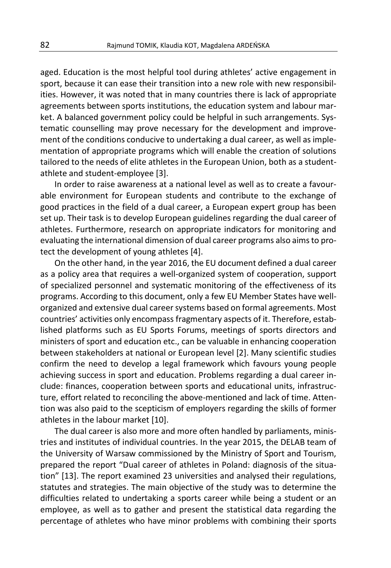aged. Education is the most helpful tool during athletes' active engagement in sport, because it can ease their transition into a new role with new responsibilities. However, it was noted that in many countries there is lack of appropriate agreements between sports institutions, the education system and labour market. A balanced government policy could be helpful in such arrangements. Systematic counselling may prove necessary for the development and improvement of the conditions conducive to undertaking a dual career, as well as implementation of appropriate programs which will enable the creation of solutions tailored to the needs of elite athletes in the European Union, both as a studentathlete and student-employee [3].

In order to raise awareness at a national level as well as to create a favourable environment for European students and contribute to the exchange of good practices in the field of a dual career, a European expert group has been set up. Their task is to develop European guidelines regarding the dual career of athletes. Furthermore, research on appropriate indicators for monitoring and evaluating the international dimension of dual career programs also aims to protect the development of young athletes [4].

On the other hand, in the year 2016, the EU document defined a dual career as a policy area that requires a well-organized system of cooperation, support of specialized personnel and systematic monitoring of the effectiveness of its programs. According to this document, only a few EU Member States have wellorganized and extensive dual career systems based on formal agreements. Most countries' activities only encompass fragmentary aspects of it. Therefore, established platforms such as EU Sports Forums, meetings of sports directors and ministers of sport and education etc., can be valuable in enhancing cooperation between stakeholders at national or European level [2]. Many scientific studies confirm the need to develop a legal framework which favours young people achieving success in sport and education. Problems regarding a dual career include: finances, cooperation between sports and educational units, infrastructure, effort related to reconciling the above-mentioned and lack of time. Attention was also paid to the scepticism of employers regarding the skills of former athletes in the labour market [10].

The dual career is also more and more often handled by parliaments, ministries and institutes of individual countries. In the year 2015, the DELAB team of the University of Warsaw commissioned by the Ministry of Sport and Tourism, prepared the report "Dual career of athletes in Poland: diagnosis of the situation" [13]. The report examined 23 universities and analysed their regulations, statutes and strategies. The main objective of the study was to determine the difficulties related to undertaking a sports career while being a student or an employee, as well as to gather and present the statistical data regarding the percentage of athletes who have minor problems with combining their sports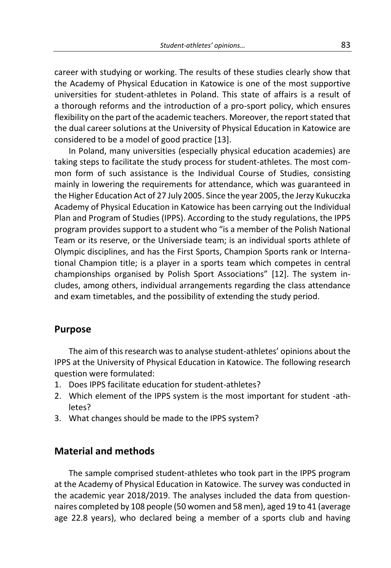career with studying or working. The results of these studies clearly show that the Academy of Physical Education in Katowice is one of the most supportive universities for student-athletes in Poland. This state of affairs is a result of a thorough reforms and the introduction of a pro-sport policy, which ensures flexibility on the part of the academic teachers. Moreover, the report stated that the dual career solutions at the University of Physical Education in Katowice are considered to be a model of good practice [13].

In Poland, many universities (especially physical education academies) are taking steps to facilitate the study process for student-athletes. The most common form of such assistance is the Individual Course of Studies, consisting mainly in lowering the requirements for attendance, which was guaranteed in the Higher Education Act of 27 July 2005. Since the year 2005, the Jerzy Kukuczka Academy of Physical Education in Katowice has been carrying out the Individual Plan and Program of Studies (IPPS). According to the study regulations, the IPPS program provides support to a student who "is a member of the Polish National Team or its reserve, or the Universiade team; is an individual sports athlete of Olympic disciplines, and has the First Sports, Champion Sports rank or International Champion title; is a player in a sports team which competes in central championships organised by Polish Sport Associations" [12]. The system includes, among others, individual arrangements regarding the class attendance and exam timetables, and the possibility of extending the study period.

### **Purpose**

The aim of this research was to analyse student-athletes' opinions about the IPPS at the University of Physical Education in Katowice. The following research question were formulated:

- 1. Does IPPS facilitate education for student-athletes?
- 2. Which element of the IPPS system is the most important for student -athletes?
- 3. What changes should be made to the IPPS system?

### **Material and methods**

The sample comprised student-athletes who took part in the IPPS program at the Academy of Physical Education in Katowice. The survey was conducted in the academic year 2018/2019. The analyses included the data from questionnaires completed by 108 people (50 women and 58 men), aged 19 to 41 (average age 22.8 years), who declared being a member of a sports club and having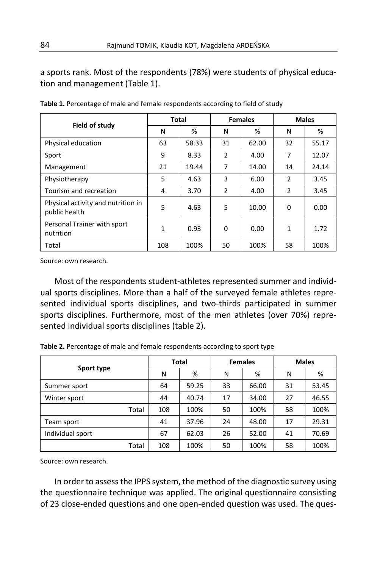a sports rank. Most of the respondents (78%) were students of physical education and management (Table 1).

|                                                     | Total |       | <b>Females</b> |       | <b>Males</b>   |       |  |
|-----------------------------------------------------|-------|-------|----------------|-------|----------------|-------|--|
| Field of study                                      | N     | %     | N              | %     | N              | %     |  |
| Physical education                                  | 63    | 58.33 | 31             | 62.00 | 32             | 55.17 |  |
| Sport                                               | 9     | 8.33  | 2              | 4.00  | 7              | 12.07 |  |
| Management                                          | 21    | 19.44 | 7              | 14.00 | 14             | 24.14 |  |
| Physiotherapy                                       | 5     | 4.63  | 3              | 6.00  | 2              | 3.45  |  |
| Tourism and recreation                              | 4     | 3.70  | $\mathcal{P}$  | 4.00  | $\overline{2}$ | 3.45  |  |
| Physical activity and nutrition in<br>public health | 5     | 4.63  | 5              | 10.00 | 0              | 0.00  |  |
| Personal Trainer with sport<br>nutrition            | 1     | 0.93  | 0              | 0.00  | 1              | 1.72  |  |
| Total                                               | 108   | 100%  | 50             | 100%  | 58             | 100%  |  |

**Table 1.** Percentage of male and female respondents according to field of study

Source: own research.

Most of the respondents student-athletes represented summer and individual sports disciplines. More than a half of the surveyed female athletes represented individual sports disciplines, and two-thirds participated in summer sports disciplines. Furthermore, most of the men athletes (over 70%) represented individual sports disciplines (table 2).

**Table 2.** Percentage of male and female respondents according to sport type

|                  | Total |       |    | <b>Females</b> | <b>Males</b> |       |
|------------------|-------|-------|----|----------------|--------------|-------|
| Sport type       | N     | %     | N  | %              | N            | %     |
| Summer sport     | 64    | 59.25 | 33 | 66.00          | 31           | 53.45 |
| Winter sport     | 44    | 40.74 | 17 | 34.00          | 27           | 46.55 |
| Total            | 108   | 100%  | 50 | 100%           | 58           | 100%  |
| Team sport       | 41    | 37.96 | 24 | 48.00          | 17           | 29.31 |
| Individual sport | 67    | 62.03 | 26 | 52.00          | 41           | 70.69 |
| Total            | 108   | 100%  | 50 | 100%           | 58           | 100%  |

Source: own research.

In order to assess the IPPS system, the method of the diagnostic survey using the questionnaire technique was applied. The original questionnaire consisting of 23 close-ended questions and one open-ended question was used. The ques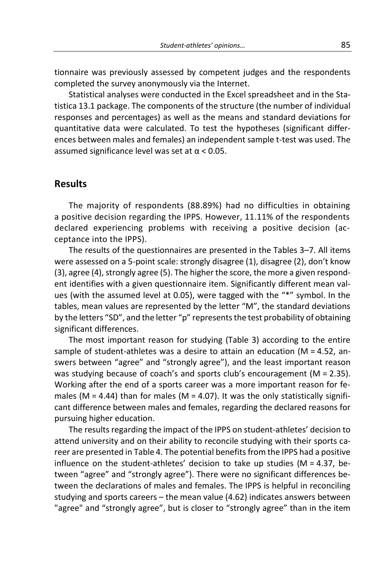tionnaire was previously assessed by competent judges and the respondents completed the survey anonymously via the Internet.

Statistical analyses were conducted in the Excel spreadsheet and in the Statistica 13.1 package. The components of the structure (the number of individual responses and percentages) as well as the means and standard deviations for quantitative data were calculated. To test the hypotheses (significant differences between males and females) an independent sample t-test was used. The assumed significance level was set at  $\alpha$  < 0.05.

### **Results**

The majority of respondents (88.89%) had no difficulties in obtaining a positive decision regarding the IPPS. However, 11.11% of the respondents declared experiencing problems with receiving a positive decision (acceptance into the IPPS).

The results of the questionnaires are presented in the Tables 3–7. All items were assessed on a 5-point scale: strongly disagree (1), disagree (2), don't know (3), agree (4), strongly agree (5). The higher the score, the more a given respondent identifies with a given questionnaire item. Significantly different mean values (with the assumed level at 0.05), were tagged with the "\*" symbol. In the tables, mean values are represented by the letter "M", the standard deviations by the letters "SD", and the letter "p" represents the test probability of obtaining significant differences.

The most important reason for studying (Table 3) according to the entire sample of student-athletes was a desire to attain an education ( $M = 4.52$ , answers between "agree" and "strongly agree"), and the least important reason was studying because of coach's and sports club's encouragement (M = 2.35). Working after the end of a sports career was a more important reason for females (M = 4.44) than for males (M = 4.07). It was the only statistically significant difference between males and females, regarding the declared reasons for pursuing higher education.

The results regarding the impact of the IPPS on student-athletes' decision to attend university and on their ability to reconcile studying with their sports career are presented in Table 4. The potential benefits from the IPPS had a positive influence on the student-athletes' decision to take up studies ( $M = 4.37$ , between "agree" and "strongly agree"). There were no significant differences between the declarations of males and females. The IPPS is helpful in reconciling studying and sports careers – the mean value (4.62) indicates answers between "agree" and "strongly agree", but is closer to "strongly agree" than in the item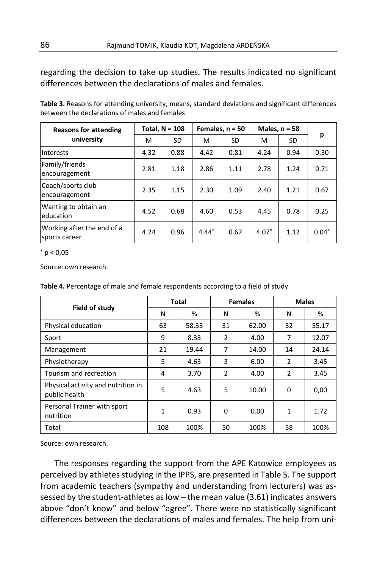regarding the decision to take up studies. The results indicated no significant differences between the declarations of males and females.

| Table 3. Reasons for attending university, means, standard deviations and significant differences |  |
|---------------------------------------------------------------------------------------------------|--|
| between the declarations of males and females                                                     |  |

| <b>Reasons for attending</b>                | Total, $N = 108$ |      | Females, $n = 50$ |      | Males, $n = 58$ |      |         |  |
|---------------------------------------------|------------------|------|-------------------|------|-----------------|------|---------|--|
| university                                  | м                | SD   | м                 | SD   | м               | SD   | р       |  |
| Interests                                   | 4.32             | 0.88 | 4.42              | 0.81 | 4.24            | 0.94 | 0.30    |  |
| Family/friends<br>encouragement             | 2.81             | 1.18 | 2.86              | 1.11 | 2.78            | 1.24 | 0.71    |  |
| Coach/sports club<br>encouragement          | 2.35             | 1.15 | 2.30              | 1.09 | 2.40            | 1.21 | 0.67    |  |
| Wanting to obtain an<br>leducation          | 4.52             | 0.68 | 4.60              | 0.53 | 4.45            | 0.78 | 0.25    |  |
| Working after the end of a<br>sports career | 4.24             | 0.96 | $4.44*$           | 0.67 | $4.07*$         | 1.12 | $0.04*$ |  |

 $*$  p < 0,05

Source: own research.

| Table 4. Percentage of male and female respondents according to a field of study |  |  |
|----------------------------------------------------------------------------------|--|--|
|----------------------------------------------------------------------------------|--|--|

|                                                     | Total |       | <b>Females</b> |       | <b>Males</b>   |       |
|-----------------------------------------------------|-------|-------|----------------|-------|----------------|-------|
| Field of study                                      | N     | %     | N              | %     | N              | %     |
| Physical education                                  | 63    | 58.33 | 31             | 62.00 | 32             | 55.17 |
| Sport                                               | 9     | 8.33  | 2              | 4.00  | 7              | 12.07 |
| Management                                          | 21    | 19.44 | 7              | 14.00 | 14             | 24.14 |
| Physiotherapy                                       | 5     | 4.63  | 3              | 6.00  | $\overline{2}$ | 3.45  |
| Tourism and recreation                              | 4     | 3.70  | $\overline{2}$ | 4.00  | 2              | 3.45  |
| Physical activity and nutrition in<br>public health | 5     | 4.63  | 5              | 10.00 | 0              | 0,00  |
| Personal Trainer with sport<br>nutrition            | 1     | 0.93  | 0              | 0.00  | 1              | 1.72  |
| Total                                               | 108   | 100%  | 50             | 100%  | 58             | 100%  |

Source: own research.

The responses regarding the support from the APE Katowice employees as perceived by athletes studying in the IPPS, are presented in Table 5. The support from academic teachers (sympathy and understanding from lecturers) was assessed by the student-athletes as low – the mean value (3.61) indicates answers above "don't know" and below "agree". There were no statistically significant differences between the declarations of males and females. The help from uni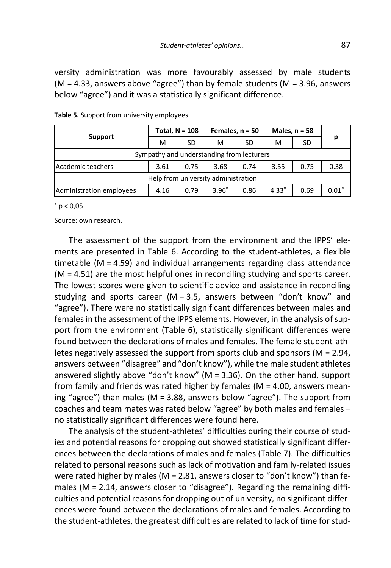versity administration was more favourably assessed by male students  $(M = 4.33$ , answers above "agree") than by female students  $(M = 3.96$ , answers below "agree") and it was a statistically significant difference.

| <b>Support</b>                            | Total, $N = 108$ |      | Females, $n = 50$ |      | Males, $n = 58$ |      |         |  |  |  |
|-------------------------------------------|------------------|------|-------------------|------|-----------------|------|---------|--|--|--|
|                                           | M                | SD   | м                 | SD   | М               | SD   | р       |  |  |  |
| Sympathy and understanding from lecturers |                  |      |                   |      |                 |      |         |  |  |  |
| Academic teachers                         | 3.61             | 0.75 | 3.68              | 0.74 | 3.55            | 0.75 | 0.38    |  |  |  |
| Help from university administration       |                  |      |                   |      |                 |      |         |  |  |  |
| Administration employees                  | 4.16             | 0.79 | $3.96*$           | 0.86 | $4.33*$         | 0.69 | $0.01*$ |  |  |  |

**Table 5.** Support from university employees

 $*$  p < 0.05

Source: own research.

The assessment of the support from the environment and the IPPS' elements are presented in Table 6. According to the student-athletes, a flexible timetable (M = 4.59) and individual arrangements regarding class attendance (M = 4.51) are the most helpful ones in reconciling studying and sports career. The lowest scores were given to scientific advice and assistance in reconciling studying and sports career (M = 3.5, answers between "don't know" and "agree"). There were no statistically significant differences between males and females in the assessment of the IPPS elements. However, in the analysis of support from the environment (Table 6), statistically significant differences were found between the declarations of males and females. The female student-athletes negatively assessed the support from sports club and sponsors ( $M = 2.94$ , answers between "disagree" and "don't know"), while the male student athletes answered slightly above "don't know" (M = 3.36). On the other hand, support from family and friends was rated higher by females ( $M = 4.00$ , answers meaning "agree") than males (M = 3.88, answers below "agree"). The support from coaches and team mates was rated below "agree" by both males and females – no statistically significant differences were found here.

The analysis of the student-athletes' difficulties during their course of studies and potential reasons for dropping out showed statistically significant differences between the declarations of males and females (Table 7). The difficulties related to personal reasons such as lack of motivation and family-related issues were rated higher by males ( $M = 2.81$ , answers closer to "don't know") than females ( $M = 2.14$ , answers closer to "disagree"). Regarding the remaining difficulties and potential reasons for dropping out of university, no significant differences were found between the declarations of males and females. According to the student-athletes, the greatest difficulties are related to lack of time for stud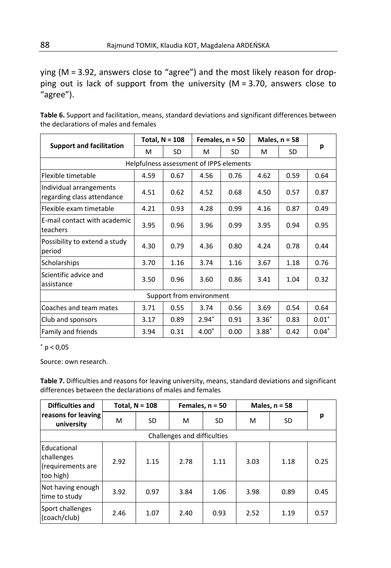ying (M = 3.92, answers close to "agree") and the most likely reason for dropping out is lack of support from the university (M = 3.70, answers close to "agree").

**Table 6.** Support and facilitation, means, standard deviations and significant differences between the declarations of males and females

|                                                       | Total, $N = 108$ |      |         | Females, $n = 50$ | Males, $n = 58$ |      |         |  |  |  |
|-------------------------------------------------------|------------------|------|---------|-------------------|-----------------|------|---------|--|--|--|
| <b>Support and facilitation</b>                       | м                | SD   | м       | SD                | м               | SD   | р       |  |  |  |
| Helpfulness assessment of IPPS elements               |                  |      |         |                   |                 |      |         |  |  |  |
| Flexible timetable                                    | 4.59             | 0.67 | 4.56    | 0.76              | 4.62            | 0.59 | 0.64    |  |  |  |
| Individual arrangements<br>regarding class attendance | 4.51             | 0.62 | 4.52    | 0.68              | 4.50            | 0.57 | 0.87    |  |  |  |
| Flexible exam timetable                               | 4.21             | 0.93 | 4.28    | 0.99              | 4.16            | 0.87 | 0.49    |  |  |  |
| E-mail contact with academic<br>teachers              | 3.95             | 0.96 | 3.96    | 0.99              | 3.95            | 0.94 | 0.95    |  |  |  |
| Possibility to extend a study<br>period               | 4.30             | 0.79 | 4.36    | 0.80              | 4.24            | 0.78 | 0.44    |  |  |  |
| Scholarships                                          | 3.70             | 1.16 | 3.74    | 1.16              | 3.67            | 1.18 | 0.76    |  |  |  |
| Scientific advice and<br>assistance                   | 3.50             | 0.96 | 3.60    | 0.86              | 3.41            | 1.04 | 0.32    |  |  |  |
| Support from environment                              |                  |      |         |                   |                 |      |         |  |  |  |
| Coaches and team mates                                | 3.71             | 0.55 | 3.74    | 0.56              | 3.69            | 0.54 | 0.64    |  |  |  |
| Club and sponsors                                     | 3.17             | 0.89 | $2.94*$ | 0.91              | $3.36*$         | 0.83 | $0.01*$ |  |  |  |
| Family and friends                                    | 3.94             | 0.31 | $4.00*$ | 0.00              | $3.88*$         | 0.42 | $0.04*$ |  |  |  |

 $*$  p < 0,05

Source: own research.

**Table 7.** Difficulties and reasons for leaving university, means, standard deviations and significant differences between the declarations of males and females

| <b>Difficulties and</b>                                     | Total, $N = 108$ |      |      | Females, $n = 50$ | Males, $n = 58$ |      |      |  |  |
|-------------------------------------------------------------|------------------|------|------|-------------------|-----------------|------|------|--|--|
| reasons for leaving<br>university                           | м                | SD   | м    | SD.               | м               | SD   | p    |  |  |
| Challenges and difficulties                                 |                  |      |      |                   |                 |      |      |  |  |
| Educational<br>challenges<br>(requirements are<br>too high) | 2.92             | 1.15 | 2.78 | 1.11              | 3.03            | 1.18 | 0.25 |  |  |
| Not having enough<br>time to study                          | 3.92             | 0.97 | 3.84 | 1.06              | 3.98            | 0.89 | 0.45 |  |  |
| Sport challenges<br>(coach/club)                            | 2.46             | 1.07 | 2.40 | 0.93              | 2.52            | 1.19 | 0.57 |  |  |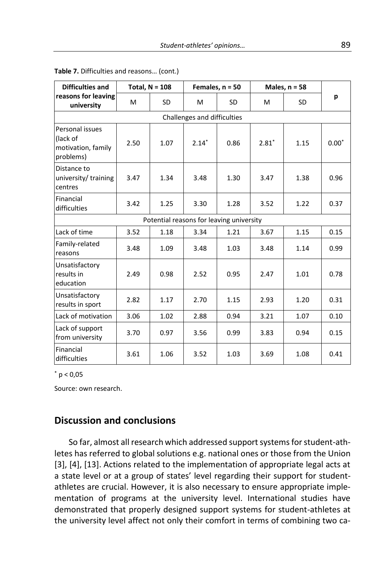| <b>Difficulties and</b>                                        | Total, $N = 108$ |           |                                          | Females, $n = 50$ | Males, $n = 58$ |           |         |  |  |  |  |
|----------------------------------------------------------------|------------------|-----------|------------------------------------------|-------------------|-----------------|-----------|---------|--|--|--|--|
| reasons for leaving<br>university                              | M                | <b>SD</b> | M                                        | <b>SD</b>         | M               | <b>SD</b> | р       |  |  |  |  |
| Challenges and difficulties                                    |                  |           |                                          |                   |                 |           |         |  |  |  |  |
| Personal issues<br>(lack of<br>motivation, family<br>problems) | 2.50             | 1.07      | $2.14*$                                  | 0.86              | $2.81*$         | 1.15      | $0.00*$ |  |  |  |  |
| Distance to<br>university/training<br>centres                  | 3.47             | 1.34      | 3.48                                     | 1.30              | 3.47            | 1.38      | 0.96    |  |  |  |  |
| Financial<br>difficulties                                      | 3.42             | 1.25      | 3.30                                     | 1.28              | 3.52            | 1.22      | 0.37    |  |  |  |  |
|                                                                |                  |           | Potential reasons for leaving university |                   |                 |           |         |  |  |  |  |
| Lack of time                                                   | 3.52             | 1.18      | 3.34                                     | 1.21              | 3.67            | 1.15      | 0.15    |  |  |  |  |
| Family-related<br>reasons                                      | 3.48             | 1.09      | 3.48                                     | 1.03              | 3.48            | 1.14      | 0.99    |  |  |  |  |
| Unsatisfactory<br>results in<br>education                      | 2.49             | 0.98      | 2.52                                     | 0.95              | 2.47            | 1.01      | 0.78    |  |  |  |  |
| Unsatisfactory<br>results in sport                             | 2.82             | 1.17      | 2.70                                     | 1.15              | 2.93            | 1.20      | 0.31    |  |  |  |  |
| Lack of motivation                                             | 3.06             | 1.02      | 2.88                                     | 0.94              | 3.21            | 1.07      | 0.10    |  |  |  |  |
| Lack of support<br>from university                             | 3.70             | 0.97      | 3.56                                     | 0.99              | 3.83            | 0.94      | 0.15    |  |  |  |  |
| Financial<br>difficulties                                      | 3.61             | 1.06      | 3.52                                     | 1.03              | 3.69            | 1.08      | 0.41    |  |  |  |  |

#### **Table 7.** Difficulties and reasons… (cont.)

 $*$  p < 0,05

Source: own research.

### **Discussion and conclusions**

So far, almost all research which addressed support systems for student-athletes has referred to global solutions e.g. national ones or those from the Union [3], [4], [13]. Actions related to the implementation of appropriate legal acts at a state level or at a group of states' level regarding their support for studentathletes are crucial. However, it is also necessary to ensure appropriate implementation of programs at the university level. International studies have demonstrated that properly designed support systems for student-athletes at the university level affect not only their comfort in terms of combining two ca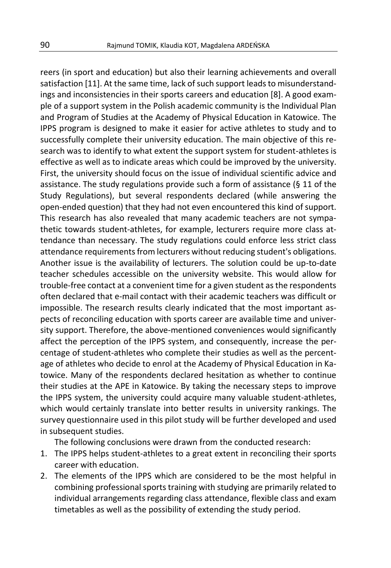reers (in sport and education) but also their learning achievements and overall satisfaction [11]. At the same time, lack of such support leads to misunderstandings and inconsistencies in their sports careers and education [8]. A good example of a support system in the Polish academic community is the Individual Plan and Program of Studies at the Academy of Physical Education in Katowice. The IPPS program is designed to make it easier for active athletes to study and to successfully complete their university education. The main objective of this research was to identify to what extent the support system for student-athletes is effective as well as to indicate areas which could be improved by the university. First, the university should focus on the issue of individual scientific advice and assistance. The study regulations provide such a form of assistance (§ 11 of the Study Regulations), but several respondents declared (while answering the open-ended question) that they had not even encountered this kind of support. This research has also revealed that many academic teachers are not sympathetic towards student-athletes, for example, lecturers require more class attendance than necessary. The study regulations could enforce less strict class attendance requirements from lecturers without reducing student's obligations. Another issue is the availability of lecturers. The solution could be up-to-date teacher schedules accessible on the university website. This would allow for trouble-free contact at a convenient time for a given student as the respondents often declared that e-mail contact with their academic teachers was difficult or impossible. The research results clearly indicated that the most important aspects of reconciling education with sports career are available time and university support. Therefore, the above-mentioned conveniences would significantly affect the perception of the IPPS system, and consequently, increase the percentage of student-athletes who complete their studies as well as the percentage of athletes who decide to enrol at the Academy of Physical Education in Katowice. Many of the respondents declared hesitation as whether to continue their studies at the APE in Katowice. By taking the necessary steps to improve the IPPS system, the university could acquire many valuable student-athletes, which would certainly translate into better results in university rankings. The survey questionnaire used in this pilot study will be further developed and used in subsequent studies.

The following conclusions were drawn from the conducted research:

- 1. The IPPS helps student-athletes to a great extent in reconciling their sports career with education.
- 2. The elements of the IPPS which are considered to be the most helpful in combining professional sports training with studying are primarily related to individual arrangements regarding class attendance, flexible class and exam timetables as well as the possibility of extending the study period.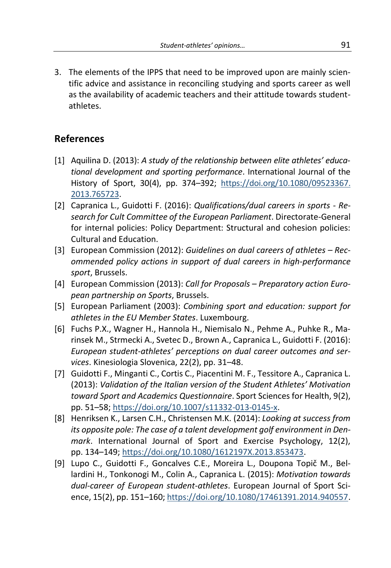3. The elements of the IPPS that need to be improved upon are mainly scientific advice and assistance in reconciling studying and sports career as well as the availability of academic teachers and their attitude towards studentathletes.

### **References**

- [1] Aquilina D. (2013): *A study of the relationship between elite athletes' educational development and sporting performance*. International Journal of the History of Sport, 30(4), pp. 374–392; [https://doi.org/10.1080/09523367.](https://doi.org/10.1080/09523367.2013.765723) [2013.765723.](https://doi.org/10.1080/09523367.2013.765723)
- [2] Capranica L., Guidotti F. (2016): *Qualifications/dual careers in sports - Research for Cult Committee of the European Parliament*. Directorate-General for internal policies: Policy Department: Structural and cohesion policies: Cultural and Education.
- [3] European Commission (2012): *Guidelines on dual careers of athletes – Recommended policy actions in support of dual careers in high-performance sport*, Brussels.
- [4] European Commission (2013): *Call for Proposals – Preparatory action European partnership on Sports*, Brussels.
- [5] European Parliament (2003): *Combining sport and education: support for athletes in the EU Member States*. Luxembourg.
- [6] Fuchs P.X., Wagner H., Hannola H., Niemisalo N., Pehme A., Puhke R., Marinsek M., Strmecki A., Svetec D., Brown A., Capranica L., Guidotti F. (2016): *European student-athletes' perceptions on dual career outcomes and services*. Kinesiologia Slovenica, 22(2), pp. 31–48.
- [7] Guidotti F., Minganti C., Cortis C., Piacentini M. F., Tessitore A., Capranica L. (2013): *Validation of the Italian version of the Student Athletes' Motivation toward Sport and Academics Questionnaire*. Sport Sciences for Health, 9(2), pp. 51–58; [https://doi.org/10.1007/s11332-013-0145-x.](https://doi.org/10.1007/s11332-013-0145-x)
- [8] Henriksen K., Larsen C.H., Christensen M.K. (2014): *Looking at success from its opposite pole: The case of a talent development golf environment in Denmark*. International Journal of Sport and Exercise Psychology, 12(2), pp. 134–149; [https://doi.org/10.1080/1612197X.2013.853473.](https://doi.org/10.1080/1612197X.2013.853473)
- [9] Lupo C., Guidotti F., Goncalves C.E., Moreira L., Doupona Topič M., Bellardini H., Tonkonogi M., Colin A., Capranica L. (2015): *Motivation towards dual-career of European student-athletes*. European Journal of Sport Science, 15(2), pp. 151–160; [https://doi.org/10.1080/17461391.2014.940557.](https://doi.org/10.1080/17461391.2014.940557)